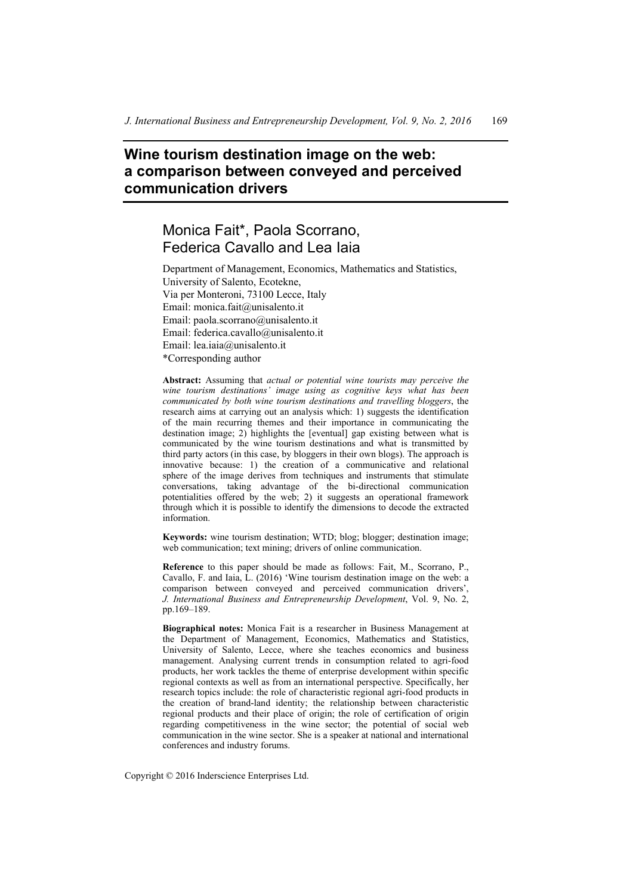# **Wine tourism destination image on the web: a comparison between conveyed and perceived communication drivers**

# Monica Fait\*, Paola Scorrano, Federica Cavallo and Lea Iaia

Department of Management, Economics, Mathematics and Statistics, University of Salento, Ecotekne, Via per Monteroni, 73100 Lecce, Italy Email: monica.fait@unisalento.it Email: paola.scorrano@unisalento.it Email: federica.cavallo@unisalento.it Email: lea.iaia@unisalento.it \*Corresponding author

**Abstract:** Assuming that *actual or potential wine tourists may perceive the wine tourism destinations' image using as cognitive keys what has been communicated by both wine tourism destinations and travelling bloggers*, the research aims at carrying out an analysis which: 1) suggests the identification of the main recurring themes and their importance in communicating the destination image; 2) highlights the [eventual] gap existing between what is communicated by the wine tourism destinations and what is transmitted by third party actors (in this case, by bloggers in their own blogs). The approach is innovative because: 1) the creation of a communicative and relational sphere of the image derives from techniques and instruments that stimulate conversations, taking advantage of the bi-directional communication potentialities offered by the web; 2) it suggests an operational framework through which it is possible to identify the dimensions to decode the extracted information.

**Keywords:** wine tourism destination; WTD; blog; blogger; destination image; web communication; text mining; drivers of online communication.

**Reference** to this paper should be made as follows: Fait, M., Scorrano, P., Cavallo, F. and Iaia, L. (2016) 'Wine tourism destination image on the web: a comparison between conveyed and perceived communication drivers', *J. International Business and Entrepreneurship Development*, Vol. 9, No. 2, pp.169–189.

**Biographical notes:** Monica Fait is a researcher in Business Management at the Department of Management, Economics, Mathematics and Statistics, University of Salento, Lecce, where she teaches economics and business management. Analysing current trends in consumption related to agri-food products, her work tackles the theme of enterprise development within specific regional contexts as well as from an international perspective. Specifically, her research topics include: the role of characteristic regional agri-food products in the creation of brand-land identity; the relationship between characteristic regional products and their place of origin; the role of certification of origin regarding competitiveness in the wine sector; the potential of social web communication in the wine sector. She is a speaker at national and international conferences and industry forums.

Copyright © 2016 Inderscience Enterprises Ltd.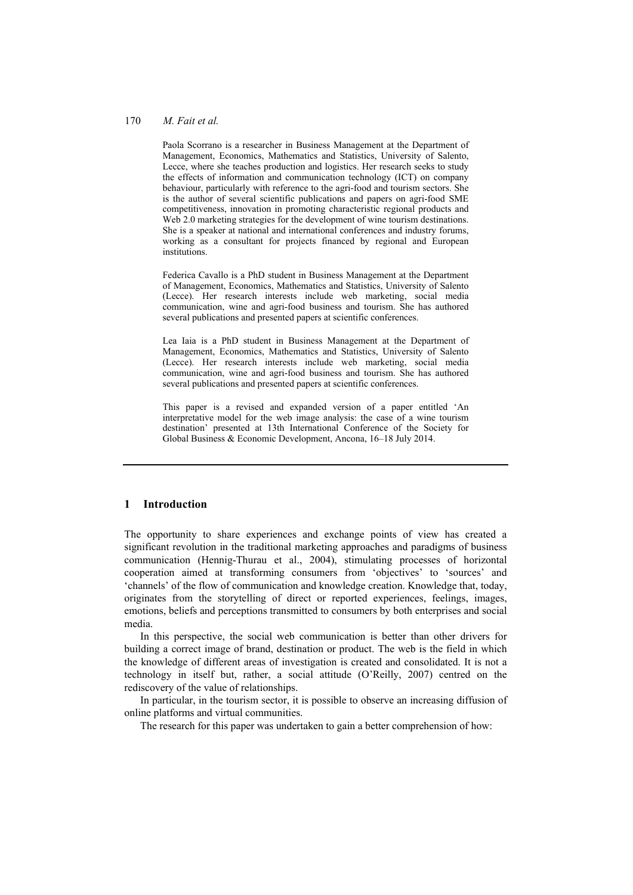Paola Scorrano is a researcher in Business Management at the Department of Management, Economics, Mathematics and Statistics, University of Salento, Lecce, where she teaches production and logistics. Her research seeks to study the effects of information and communication technology (ICT) on company behaviour, particularly with reference to the agri-food and tourism sectors. She is the author of several scientific publications and papers on agri-food SME competitiveness, innovation in promoting characteristic regional products and Web 2.0 marketing strategies for the development of wine tourism destinations. She is a speaker at national and international conferences and industry forums, working as a consultant for projects financed by regional and European institutions.

Federica Cavallo is a PhD student in Business Management at the Department of Management, Economics, Mathematics and Statistics, University of Salento (Lecce). Her research interests include web marketing, social media communication, wine and agri-food business and tourism. She has authored several publications and presented papers at scientific conferences.

Lea Iaia is a PhD student in Business Management at the Department of Management, Economics, Mathematics and Statistics, University of Salento (Lecce). Her research interests include web marketing, social media communication, wine and agri-food business and tourism. She has authored several publications and presented papers at scientific conferences.

This paper is a revised and expanded version of a paper entitled 'An interpretative model for the web image analysis: the case of a wine tourism destination' presented at 13th International Conference of the Society for Global Business & Economic Development, Ancona, 16–18 July 2014.

#### **1 Introduction**

The opportunity to share experiences and exchange points of view has created a significant revolution in the traditional marketing approaches and paradigms of business communication (Hennig-Thurau et al., 2004), stimulating processes of horizontal cooperation aimed at transforming consumers from 'objectives' to 'sources' and 'channels' of the flow of communication and knowledge creation. Knowledge that, today, originates from the storytelling of direct or reported experiences, feelings, images, emotions, beliefs and perceptions transmitted to consumers by both enterprises and social media.

In this perspective, the social web communication is better than other drivers for building a correct image of brand, destination or product. The web is the field in which the knowledge of different areas of investigation is created and consolidated. It is not a technology in itself but, rather, a social attitude (O'Reilly, 2007) centred on the rediscovery of the value of relationships.

In particular, in the tourism sector, it is possible to observe an increasing diffusion of online platforms and virtual communities.

The research for this paper was undertaken to gain a better comprehension of how: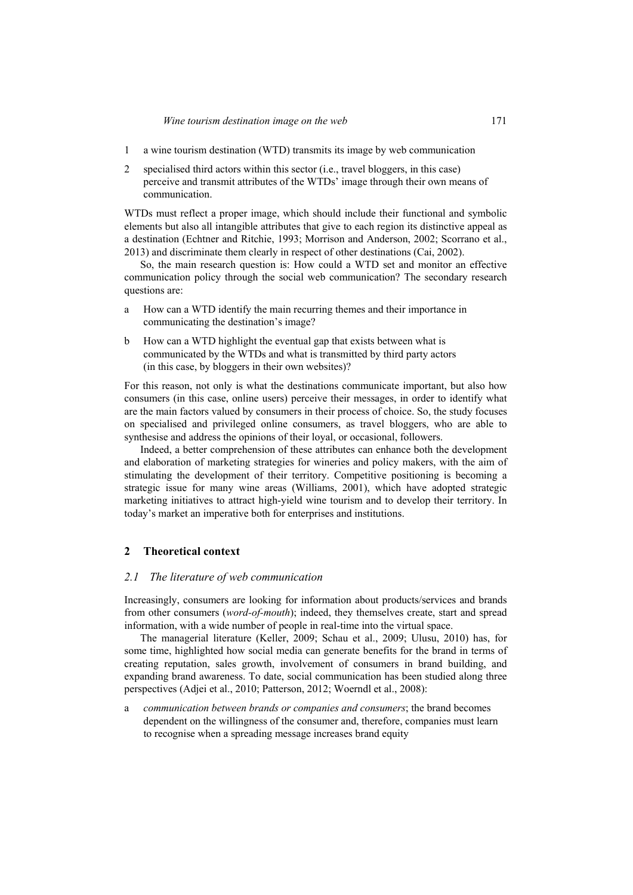- 1 a wine tourism destination (WTD) transmits its image by web communication
- 2 specialised third actors within this sector (i.e., travel bloggers, in this case) perceive and transmit attributes of the WTDs' image through their own means of communication.

WTDs must reflect a proper image, which should include their functional and symbolic elements but also all intangible attributes that give to each region its distinctive appeal as a destination (Echtner and Ritchie, 1993; Morrison and Anderson, 2002; Scorrano et al., 2013) and discriminate them clearly in respect of other destinations (Cai, 2002).

So, the main research question is: How could a WTD set and monitor an effective communication policy through the social web communication? The secondary research questions are:

- a How can a WTD identify the main recurring themes and their importance in communicating the destination's image?
- b How can a WTD highlight the eventual gap that exists between what is communicated by the WTDs and what is transmitted by third party actors (in this case, by bloggers in their own websites)?

For this reason, not only is what the destinations communicate important, but also how consumers (in this case, online users) perceive their messages, in order to identify what are the main factors valued by consumers in their process of choice. So, the study focuses on specialised and privileged online consumers, as travel bloggers, who are able to synthesise and address the opinions of their loyal, or occasional, followers.

Indeed, a better comprehension of these attributes can enhance both the development and elaboration of marketing strategies for wineries and policy makers, with the aim of stimulating the development of their territory. Competitive positioning is becoming a strategic issue for many wine areas (Williams, 2001), which have adopted strategic marketing initiatives to attract high-yield wine tourism and to develop their territory. In today's market an imperative both for enterprises and institutions.

# **2 Theoretical context**

#### *2.1 The literature of web communication*

Increasingly, consumers are looking for information about products/services and brands from other consumers (*word-of-mouth*); indeed, they themselves create, start and spread information, with a wide number of people in real-time into the virtual space.

The managerial literature (Keller, 2009; Schau et al., 2009; Ulusu, 2010) has, for some time, highlighted how social media can generate benefits for the brand in terms of creating reputation, sales growth, involvement of consumers in brand building, and expanding brand awareness. To date, social communication has been studied along three perspectives (Adjei et al., 2010; Patterson, 2012; Woerndl et al., 2008):

a *communication between brands or companies and consumers*; the brand becomes dependent on the willingness of the consumer and, therefore, companies must learn to recognise when a spreading message increases brand equity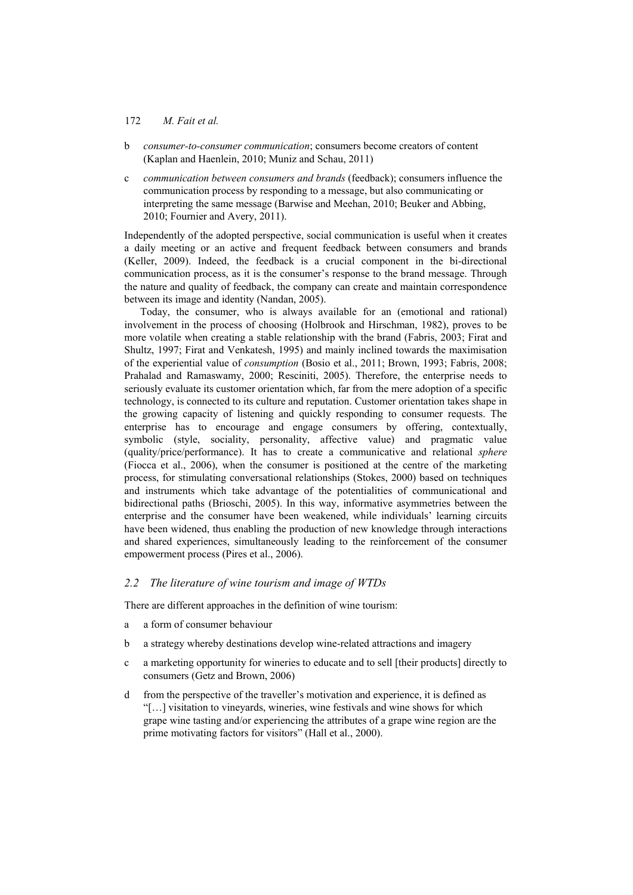- b *consumer-to-consumer communication*; consumers become creators of content (Kaplan and Haenlein, 2010; Muniz and Schau, 2011)
- c *communication between consumers and brands* (feedback); consumers influence the communication process by responding to a message, but also communicating or interpreting the same message (Barwise and Meehan, 2010; Beuker and Abbing, 2010; Fournier and Avery, 2011).

Independently of the adopted perspective, social communication is useful when it creates a daily meeting or an active and frequent feedback between consumers and brands (Keller, 2009). Indeed, the feedback is a crucial component in the bi-directional communication process, as it is the consumer's response to the brand message. Through the nature and quality of feedback, the company can create and maintain correspondence between its image and identity (Nandan, 2005).

Today, the consumer, who is always available for an (emotional and rational) involvement in the process of choosing (Holbrook and Hirschman, 1982), proves to be more volatile when creating a stable relationship with the brand (Fabris, 2003; Firat and Shultz, 1997; Firat and Venkatesh, 1995) and mainly inclined towards the maximisation of the experiential value of *consumption* (Bosio et al., 2011; Brown, 1993; Fabris, 2008; Prahalad and Ramaswamy, 2000; Resciniti, 2005). Therefore, the enterprise needs to seriously evaluate its customer orientation which, far from the mere adoption of a specific technology, is connected to its culture and reputation. Customer orientation takes shape in the growing capacity of listening and quickly responding to consumer requests. The enterprise has to encourage and engage consumers by offering, contextually, symbolic (style, sociality, personality, affective value) and pragmatic value (quality/price/performance). It has to create a communicative and relational *sphere* (Fiocca et al., 2006), when the consumer is positioned at the centre of the marketing process, for stimulating conversational relationships (Stokes, 2000) based on techniques and instruments which take advantage of the potentialities of communicational and bidirectional paths (Brioschi, 2005). In this way, informative asymmetries between the enterprise and the consumer have been weakened, while individuals' learning circuits have been widened, thus enabling the production of new knowledge through interactions and shared experiences, simultaneously leading to the reinforcement of the consumer empowerment process (Pires et al., 2006).

#### *2.2 The literature of wine tourism and image of WTDs*

There are different approaches in the definition of wine tourism:

- a a form of consumer behaviour
- b a strategy whereby destinations develop wine-related attractions and imagery
- c a marketing opportunity for wineries to educate and to sell [their products] directly to consumers (Getz and Brown, 2006)
- d from the perspective of the traveller's motivation and experience, it is defined as "[…] visitation to vineyards, wineries, wine festivals and wine shows for which grape wine tasting and/or experiencing the attributes of a grape wine region are the prime motivating factors for visitors" (Hall et al., 2000).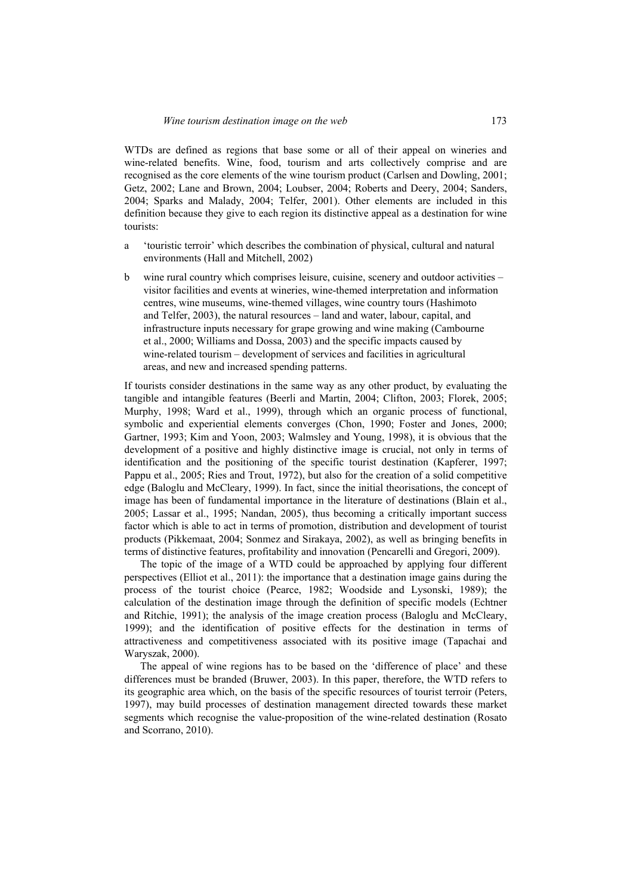WTDs are defined as regions that base some or all of their appeal on wineries and wine-related benefits. Wine, food, tourism and arts collectively comprise and are recognised as the core elements of the wine tourism product (Carlsen and Dowling, 2001; Getz, 2002; Lane and Brown, 2004; Loubser, 2004; Roberts and Deery, 2004; Sanders, 2004; Sparks and Malady, 2004; Telfer, 2001). Other elements are included in this definition because they give to each region its distinctive appeal as a destination for wine tourists:

- a 'touristic terroir' which describes the combination of physical, cultural and natural environments (Hall and Mitchell, 2002)
- b wine rural country which comprises leisure, cuisine, scenery and outdoor activities visitor facilities and events at wineries, wine-themed interpretation and information centres, wine museums, wine-themed villages, wine country tours (Hashimoto and Telfer, 2003), the natural resources – land and water, labour, capital, and infrastructure inputs necessary for grape growing and wine making (Cambourne et al., 2000; Williams and Dossa, 2003) and the specific impacts caused by wine-related tourism – development of services and facilities in agricultural areas, and new and increased spending patterns.

If tourists consider destinations in the same way as any other product, by evaluating the tangible and intangible features (Beerli and Martin, 2004; Clifton, 2003; Florek, 2005; Murphy, 1998; Ward et al., 1999), through which an organic process of functional, symbolic and experiential elements converges (Chon, 1990; Foster and Jones, 2000; Gartner, 1993; Kim and Yoon, 2003; Walmsley and Young, 1998), it is obvious that the development of a positive and highly distinctive image is crucial, not only in terms of identification and the positioning of the specific tourist destination (Kapferer, 1997; Pappu et al., 2005; Ries and Trout, 1972), but also for the creation of a solid competitive edge (Baloglu and McCleary, 1999). In fact, since the initial theorisations, the concept of image has been of fundamental importance in the literature of destinations (Blain et al., 2005; Lassar et al., 1995; Nandan, 2005), thus becoming a critically important success factor which is able to act in terms of promotion, distribution and development of tourist products (Pikkemaat, 2004; Sonmez and Sirakaya, 2002), as well as bringing benefits in terms of distinctive features, profitability and innovation (Pencarelli and Gregori, 2009).

The topic of the image of a WTD could be approached by applying four different perspectives (Elliot et al., 2011): the importance that a destination image gains during the process of the tourist choice (Pearce, 1982; Woodside and Lysonski, 1989); the calculation of the destination image through the definition of specific models (Echtner and Ritchie, 1991); the analysis of the image creation process (Baloglu and McCleary, 1999); and the identification of positive effects for the destination in terms of attractiveness and competitiveness associated with its positive image (Tapachai and Waryszak, 2000).

The appeal of wine regions has to be based on the 'difference of place' and these differences must be branded (Bruwer, 2003). In this paper, therefore, the WTD refers to its geographic area which, on the basis of the specific resources of tourist terroir (Peters, 1997), may build processes of destination management directed towards these market segments which recognise the value-proposition of the wine-related destination (Rosato and Scorrano, 2010).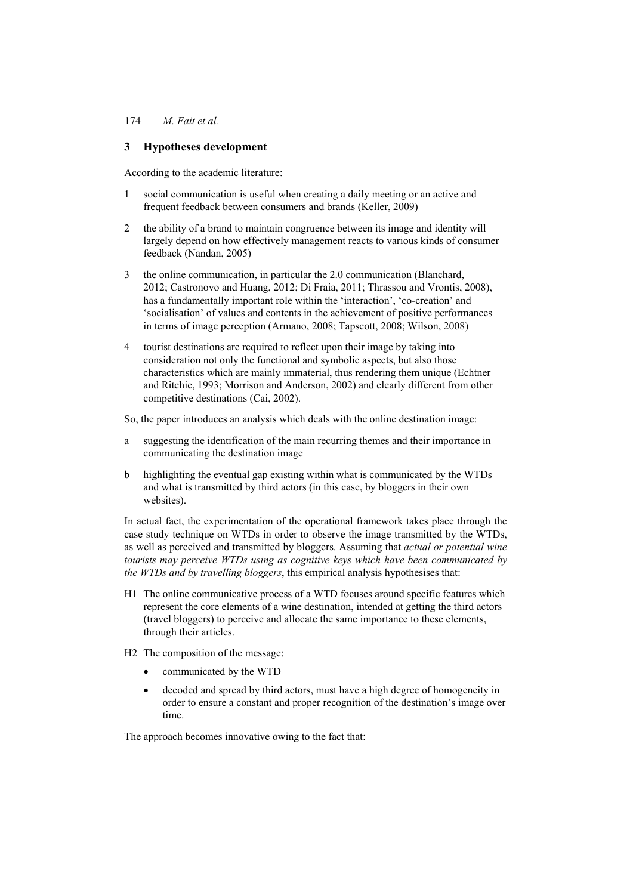# **3 Hypotheses development**

According to the academic literature:

- 1 social communication is useful when creating a daily meeting or an active and frequent feedback between consumers and brands (Keller, 2009)
- 2 the ability of a brand to maintain congruence between its image and identity will largely depend on how effectively management reacts to various kinds of consumer feedback (Nandan, 2005)
- 3 the online communication, in particular the 2.0 communication (Blanchard, 2012; Castronovo and Huang, 2012; Di Fraia, 2011; Thrassou and Vrontis, 2008), has a fundamentally important role within the 'interaction', 'co-creation' and 'socialisation' of values and contents in the achievement of positive performances in terms of image perception (Armano, 2008; Tapscott, 2008; Wilson, 2008)
- 4 tourist destinations are required to reflect upon their image by taking into consideration not only the functional and symbolic aspects, but also those characteristics which are mainly immaterial, thus rendering them unique (Echtner and Ritchie, 1993; Morrison and Anderson, 2002) and clearly different from other competitive destinations (Cai, 2002).

So, the paper introduces an analysis which deals with the online destination image:

- a suggesting the identification of the main recurring themes and their importance in communicating the destination image
- b highlighting the eventual gap existing within what is communicated by the WTDs and what is transmitted by third actors (in this case, by bloggers in their own websites).

In actual fact, the experimentation of the operational framework takes place through the case study technique on WTDs in order to observe the image transmitted by the WTDs, as well as perceived and transmitted by bloggers. Assuming that *actual or potential wine tourists may perceive WTDs using as cognitive keys which have been communicated by the WTDs and by travelling bloggers*, this empirical analysis hypothesises that:

- H1 The online communicative process of a WTD focuses around specific features which represent the core elements of a wine destination, intended at getting the third actors (travel bloggers) to perceive and allocate the same importance to these elements, through their articles.
- H2 The composition of the message:
	- communicated by the WTD
	- decoded and spread by third actors, must have a high degree of homogeneity in order to ensure a constant and proper recognition of the destination's image over time.

The approach becomes innovative owing to the fact that: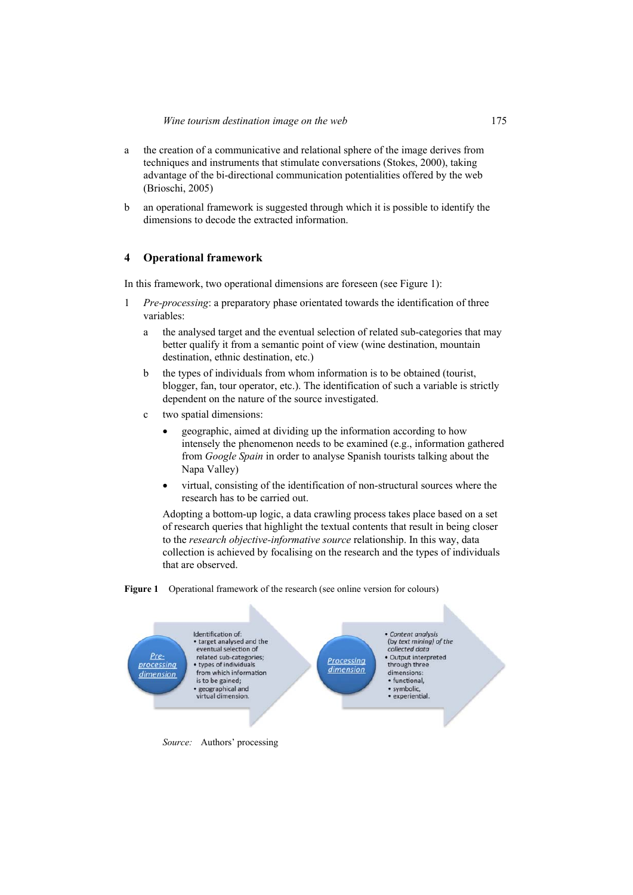- a the creation of a communicative and relational sphere of the image derives from techniques and instruments that stimulate conversations (Stokes, 2000), taking advantage of the bi-directional communication potentialities offered by the web (Brioschi, 2005)
- b an operational framework is suggested through which it is possible to identify the dimensions to decode the extracted information.

## **4 Operational framework**

In this framework, two operational dimensions are foreseen (see Figure 1):

- 1 *Pre-processing*: a preparatory phase orientated towards the identification of three variables:
	- a the analysed target and the eventual selection of related sub-categories that may better qualify it from a semantic point of view (wine destination, mountain destination, ethnic destination, etc.)
	- b the types of individuals from whom information is to be obtained (tourist, blogger, fan, tour operator, etc.). The identification of such a variable is strictly dependent on the nature of the source investigated.
	- c two spatial dimensions:
		- geographic, aimed at dividing up the information according to how intensely the phenomenon needs to be examined (e.g., information gathered from *Google Spain* in order to analyse Spanish tourists talking about the Napa Valley)
		- virtual, consisting of the identification of non-structural sources where the research has to be carried out.

Adopting a bottom-up logic, a data crawling process takes place based on a set of research queries that highlight the textual contents that result in being closer to the *research objective-informative source* relationship. In this way, data collection is achieved by focalising on the research and the types of individuals that are observed.



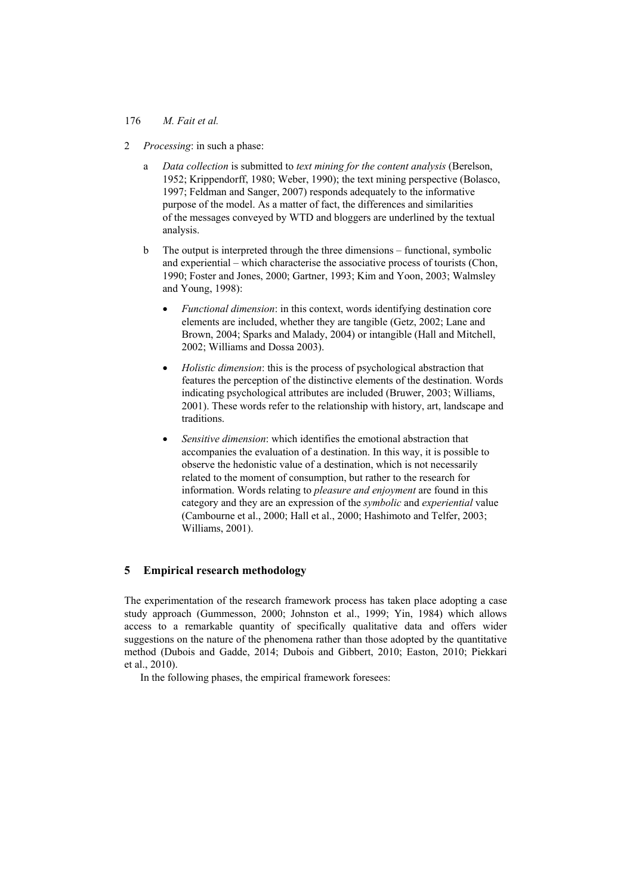- 2 *Processing*: in such a phase:
	- a *Data collection* is submitted to *text mining for the content analysis* (Berelson, 1952; Krippendorff, 1980; Weber, 1990); the text mining perspective (Bolasco, 1997; Feldman and Sanger, 2007) responds adequately to the informative purpose of the model. As a matter of fact, the differences and similarities of the messages conveyed by WTD and bloggers are underlined by the textual analysis.
	- b The output is interpreted through the three dimensions functional, symbolic and experiential – which characterise the associative process of tourists (Chon, 1990; Foster and Jones, 2000; Gartner, 1993; Kim and Yoon, 2003; Walmsley and Young, 1998):
		- *Functional dimension*: in this context, words identifying destination core elements are included, whether they are tangible (Getz, 2002; Lane and Brown, 2004; Sparks and Malady, 2004) or intangible (Hall and Mitchell, 2002; Williams and Dossa 2003).
		- *Holistic dimension*: this is the process of psychological abstraction that features the perception of the distinctive elements of the destination. Words indicating psychological attributes are included (Bruwer, 2003; Williams, 2001). These words refer to the relationship with history, art, landscape and traditions.
		- *Sensitive dimension*: which identifies the emotional abstraction that accompanies the evaluation of a destination. In this way, it is possible to observe the hedonistic value of a destination, which is not necessarily related to the moment of consumption, but rather to the research for information. Words relating to *pleasure and enjoyment* are found in this category and they are an expression of the *symbolic* and *experiential* value (Cambourne et al., 2000; Hall et al., 2000; Hashimoto and Telfer, 2003; Williams, 2001).

# **5 Empirical research methodology**

The experimentation of the research framework process has taken place adopting a case study approach (Gummesson, 2000; Johnston et al., 1999; Yin, 1984) which allows access to a remarkable quantity of specifically qualitative data and offers wider suggestions on the nature of the phenomena rather than those adopted by the quantitative method (Dubois and Gadde, 2014; Dubois and Gibbert, 2010; Easton, 2010; Piekkari et al., 2010).

In the following phases, the empirical framework foresees: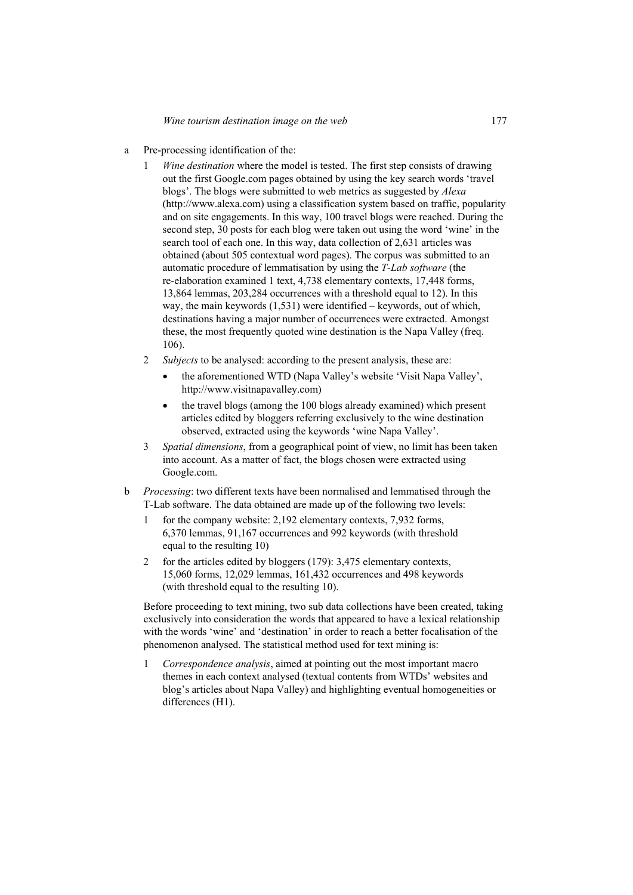- a Pre-processing identification of the:
	- 1 *Wine destination* where the model is tested. The first step consists of drawing out the first Google.com pages obtained by using the key search words 'travel blogs'. The blogs were submitted to web metrics as suggested by *Alexa* (http://www.alexa.com) using a classification system based on traffic, popularity and on site engagements. In this way, 100 travel blogs were reached. During the second step, 30 posts for each blog were taken out using the word 'wine' in the search tool of each one. In this way, data collection of 2,631 articles was obtained (about 505 contextual word pages). The corpus was submitted to an automatic procedure of lemmatisation by using the *T-Lab software* (the re-elaboration examined 1 text, 4,738 elementary contexts, 17,448 forms, 13,864 lemmas, 203,284 occurrences with a threshold equal to 12). In this way, the main keywords (1,531) were identified – keywords, out of which, destinations having a major number of occurrences were extracted. Amongst these, the most frequently quoted wine destination is the Napa Valley (freq. 106).
	- 2 *Subjects* to be analysed: according to the present analysis, these are:
		- the aforementioned WTD (Napa Valley's website 'Visit Napa Valley', http://www.visitnapavalley.com)
		- the travel blogs (among the 100 blogs already examined) which present articles edited by bloggers referring exclusively to the wine destination observed, extracted using the keywords 'wine Napa Valley'.
	- 3 *Spatial dimensions*, from a geographical point of view, no limit has been taken into account. As a matter of fact, the blogs chosen were extracted using Google.com.
- b *Processing*: two different texts have been normalised and lemmatised through the T-Lab software. The data obtained are made up of the following two levels:
	- 1 for the company website: 2,192 elementary contexts, 7,932 forms, 6,370 lemmas, 91,167 occurrences and 992 keywords (with threshold equal to the resulting 10)
	- 2 for the articles edited by bloggers (179): 3,475 elementary contexts, 15,060 forms, 12,029 lemmas, 161,432 occurrences and 498 keywords (with threshold equal to the resulting 10).

 Before proceeding to text mining, two sub data collections have been created, taking exclusively into consideration the words that appeared to have a lexical relationship with the words 'wine' and 'destination' in order to reach a better focalisation of the phenomenon analysed. The statistical method used for text mining is:

1 *Correspondence analysis*, aimed at pointing out the most important macro themes in each context analysed (textual contents from WTDs' websites and blog's articles about Napa Valley) and highlighting eventual homogeneities or differences (H1).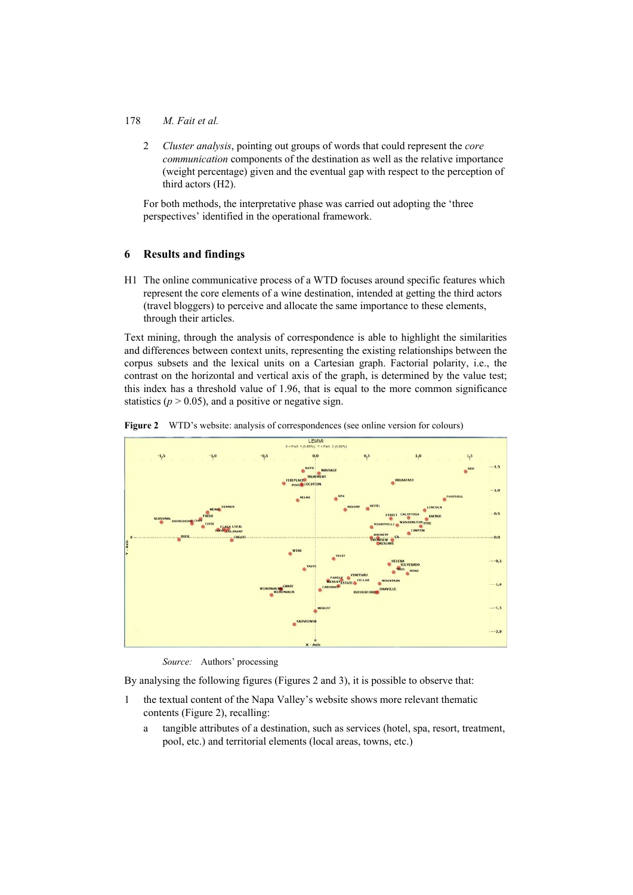2 *Cluster analysis*, pointing out groups of words that could represent the *core communication* components of the destination as well as the relative importance (weight percentage) given and the eventual gap with respect to the perception of third actors (H2).

 For both methods, the interpretative phase was carried out adopting the 'three perspectives' identified in the operational framework.

# **6 Results and findings**

H1 The online communicative process of a WTD focuses around specific features which represent the core elements of a wine destination, intended at getting the third actors (travel bloggers) to perceive and allocate the same importance to these elements, through their articles.

Text mining, through the analysis of correspondence is able to highlight the similarities and differences between context units, representing the existing relationships between the corpus subsets and the lexical units on a Cartesian graph. Factorial polarity, i.e., the contrast on the horizontal and vertical axis of the graph, is determined by the value test; this index has a threshold value of 1.96, that is equal to the more common significance statistics ( $p > 0.05$ ), and a positive or negative sign.





*Source:* Authors' processing

By analysing the following figures (Figures 2 and 3), it is possible to observe that:

- 1 the textual content of the Napa Valley's website shows more relevant thematic contents (Figure 2), recalling:
	- a tangible attributes of a destination, such as services (hotel, spa, resort, treatment, pool, etc.) and territorial elements (local areas, towns, etc.)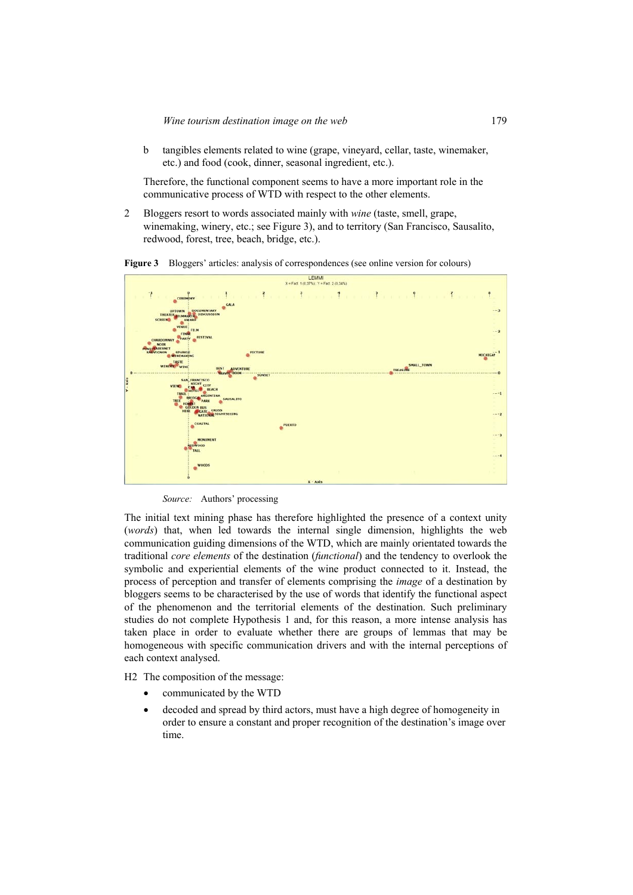b tangibles elements related to wine (grape, vineyard, cellar, taste, winemaker, etc.) and food (cook, dinner, seasonal ingredient, etc.).

 Therefore, the functional component seems to have a more important role in the communicative process of WTD with respect to the other elements.

2 Bloggers resort to words associated mainly with *wine* (taste, smell, grape, winemaking, winery, etc.; see Figure 3), and to territory (San Francisco, Sausalito, redwood, forest, tree, beach, bridge, etc.).



*Source:* Authors' processing

The initial text mining phase has therefore highlighted the presence of a context unity (*words*) that, when led towards the internal single dimension, highlights the web communication guiding dimensions of the WTD, which are mainly orientated towards the traditional *core elements* of the destination (*functional*) and the tendency to overlook the symbolic and experiential elements of the wine product connected to it. Instead, the process of perception and transfer of elements comprising the *image* of a destination by bloggers seems to be characterised by the use of words that identify the functional aspect of the phenomenon and the territorial elements of the destination. Such preliminary studies do not complete Hypothesis 1 and, for this reason, a more intense analysis has taken place in order to evaluate whether there are groups of lemmas that may be homogeneous with specific communication drivers and with the internal perceptions of each context analysed.

H2 The composition of the message:

- communicated by the WTD
- decoded and spread by third actors, must have a high degree of homogeneity in order to ensure a constant and proper recognition of the destination's image over time.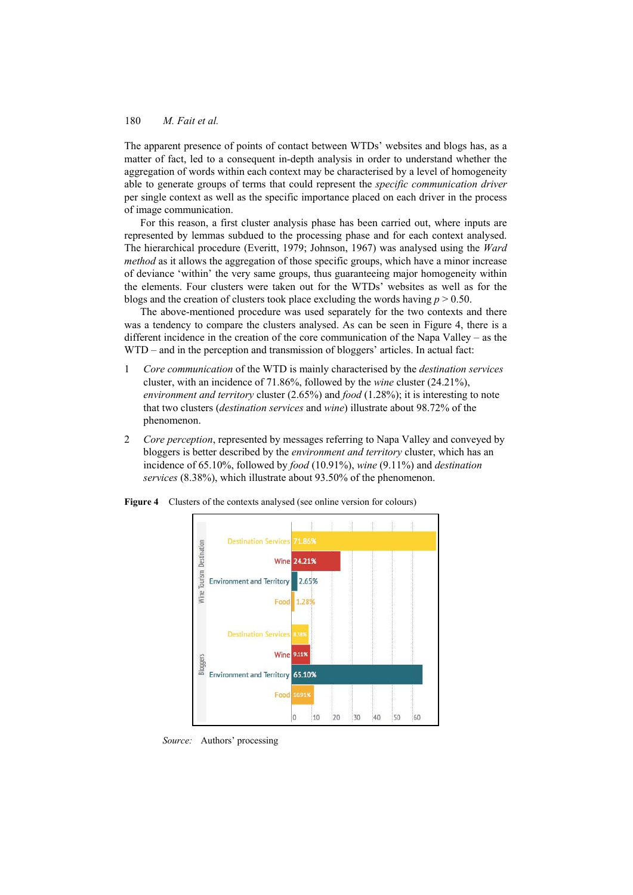The apparent presence of points of contact between WTDs' websites and blogs has, as a matter of fact, led to a consequent in-depth analysis in order to understand whether the aggregation of words within each context may be characterised by a level of homogeneity able to generate groups of terms that could represent the *specific communication driver* per single context as well as the specific importance placed on each driver in the process of image communication.

For this reason, a first cluster analysis phase has been carried out, where inputs are represented by lemmas subdued to the processing phase and for each context analysed. The hierarchical procedure (Everitt, 1979; Johnson, 1967) was analysed using the *Ward method* as it allows the aggregation of those specific groups, which have a minor increase of deviance 'within' the very same groups, thus guaranteeing major homogeneity within the elements. Four clusters were taken out for the WTDs' websites as well as for the blogs and the creation of clusters took place excluding the words having  $p > 0.50$ .

The above-mentioned procedure was used separately for the two contexts and there was a tendency to compare the clusters analysed. As can be seen in Figure 4, there is a different incidence in the creation of the core communication of the Napa Valley – as the WTD – and in the perception and transmission of bloggers' articles. In actual fact:

- 1 *Core communication* of the WTD is mainly characterised by the *destination services* cluster, with an incidence of 71.86%, followed by the *wine* cluster (24.21%), *environment and territory* cluster (2.65%) and *food* (1.28%); it is interesting to note that two clusters (*destination services* and *wine*) illustrate about 98.72% of the phenomenon.
- 2 *Core perception*, represented by messages referring to Napa Valley and conveyed by bloggers is better described by the *environment and territory* cluster, which has an incidence of 65.10%, followed by *food* (10.91%), *wine* (9.11%) and *destination services* (8.38%), which illustrate about 93.50% of the phenomenon.



**Figure 4** Clusters of the contexts analysed (see online version for colours)

*Source:* Authors' processing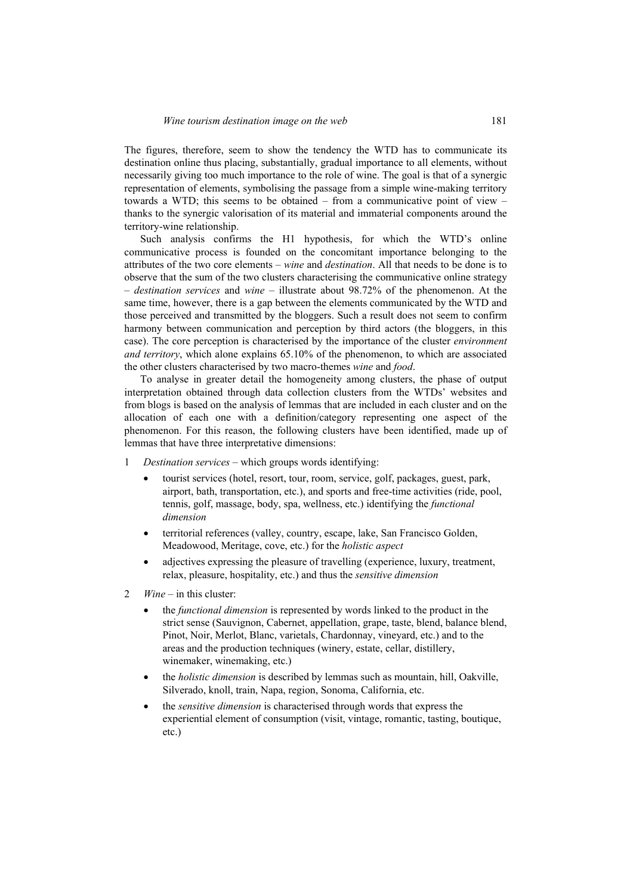The figures, therefore, seem to show the tendency the WTD has to communicate its destination online thus placing, substantially, gradual importance to all elements, without necessarily giving too much importance to the role of wine. The goal is that of a synergic representation of elements, symbolising the passage from a simple wine-making territory towards a WTD; this seems to be obtained – from a communicative point of view – thanks to the synergic valorisation of its material and immaterial components around the territory-wine relationship.

Such analysis confirms the H1 hypothesis, for which the WTD's online communicative process is founded on the concomitant importance belonging to the attributes of the two core elements – *wine* and *destination*. All that needs to be done is to observe that the sum of the two clusters characterising the communicative online strategy – *destination services* and *wine* – illustrate about 98.72% of the phenomenon. At the same time, however, there is a gap between the elements communicated by the WTD and those perceived and transmitted by the bloggers. Such a result does not seem to confirm harmony between communication and perception by third actors (the bloggers, in this case). The core perception is characterised by the importance of the cluster *environment and territory*, which alone explains 65.10% of the phenomenon, to which are associated the other clusters characterised by two macro-themes *wine* and *food*.

To analyse in greater detail the homogeneity among clusters, the phase of output interpretation obtained through data collection clusters from the WTDs' websites and from blogs is based on the analysis of lemmas that are included in each cluster and on the allocation of each one with a definition/category representing one aspect of the phenomenon. For this reason, the following clusters have been identified, made up of lemmas that have three interpretative dimensions:

- 1 *Destination services* which groups words identifying:
	- tourist services (hotel, resort, tour, room, service, golf, packages, guest, park, airport, bath, transportation, etc.), and sports and free-time activities (ride, pool, tennis, golf, massage, body, spa, wellness, etc.) identifying the *functional dimension*
	- territorial references (valley, country, escape, lake, San Francisco Golden, Meadowood, Meritage, cove, etc.) for the *holistic aspect*
	- adjectives expressing the pleasure of travelling (experience, luxury, treatment, relax, pleasure, hospitality, etc.) and thus the *sensitive dimension*
- 2 *Wine* in this cluster:
	- the *functional dimension* is represented by words linked to the product in the strict sense (Sauvignon, Cabernet, appellation, grape, taste, blend, balance blend, Pinot, Noir, Merlot, Blanc, varietals, Chardonnay, vineyard, etc.) and to the areas and the production techniques (winery, estate, cellar, distillery, winemaker, winemaking, etc.)
	- the *holistic dimension* is described by lemmas such as mountain, hill, Oakville, Silverado, knoll, train, Napa, region, Sonoma, California, etc.
	- the *sensitive dimension* is characterised through words that express the experiential element of consumption (visit, vintage, romantic, tasting, boutique, etc.)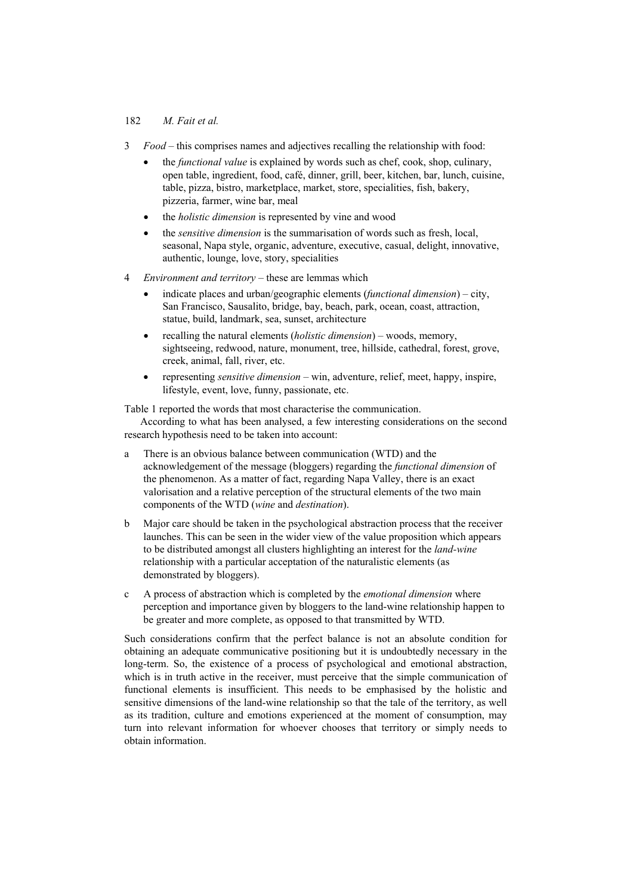- 3 *Food* this comprises names and adjectives recalling the relationship with food:
	- the *functional value* is explained by words such as chef, cook, shop, culinary, open table, ingredient, food, café, dinner, grill, beer, kitchen, bar, lunch, cuisine, table, pizza, bistro, marketplace, market, store, specialities, fish, bakery, pizzeria, farmer, wine bar, meal
	- the *holistic dimension* is represented by vine and wood
	- the *sensitive dimension* is the summarisation of words such as fresh, local, seasonal, Napa style, organic, adventure, executive, casual, delight, innovative, authentic, lounge, love, story, specialities
- 4 *Environment and territory* these are lemmas which
	- indicate places and urban/geographic elements (*functional dimension*) city, San Francisco, Sausalito, bridge, bay, beach, park, ocean, coast, attraction, statue, build, landmark, sea, sunset, architecture
	- recalling the natural elements (*holistic dimension*) woods, memory, sightseeing, redwood, nature, monument, tree, hillside, cathedral, forest, grove, creek, animal, fall, river, etc.
	- representing *sensitive dimension* win, adventure, relief, meet, happy, inspire, lifestyle, event, love, funny, passionate, etc.

Table 1 reported the words that most characterise the communication.

According to what has been analysed, a few interesting considerations on the second research hypothesis need to be taken into account:

- a There is an obvious balance between communication (WTD) and the acknowledgement of the message (bloggers) regarding the *functional dimension* of the phenomenon. As a matter of fact, regarding Napa Valley, there is an exact valorisation and a relative perception of the structural elements of the two main components of the WTD (*wine* and *destination*).
- b Major care should be taken in the psychological abstraction process that the receiver launches. This can be seen in the wider view of the value proposition which appears to be distributed amongst all clusters highlighting an interest for the *land-wine* relationship with a particular acceptation of the naturalistic elements (as demonstrated by bloggers).
- c A process of abstraction which is completed by the *emotional dimension* where perception and importance given by bloggers to the land-wine relationship happen to be greater and more complete, as opposed to that transmitted by WTD.

Such considerations confirm that the perfect balance is not an absolute condition for obtaining an adequate communicative positioning but it is undoubtedly necessary in the long-term. So, the existence of a process of psychological and emotional abstraction, which is in truth active in the receiver, must perceive that the simple communication of functional elements is insufficient. This needs to be emphasised by the holistic and sensitive dimensions of the land-wine relationship so that the tale of the territory, as well as its tradition, culture and emotions experienced at the moment of consumption, may turn into relevant information for whoever chooses that territory or simply needs to obtain information.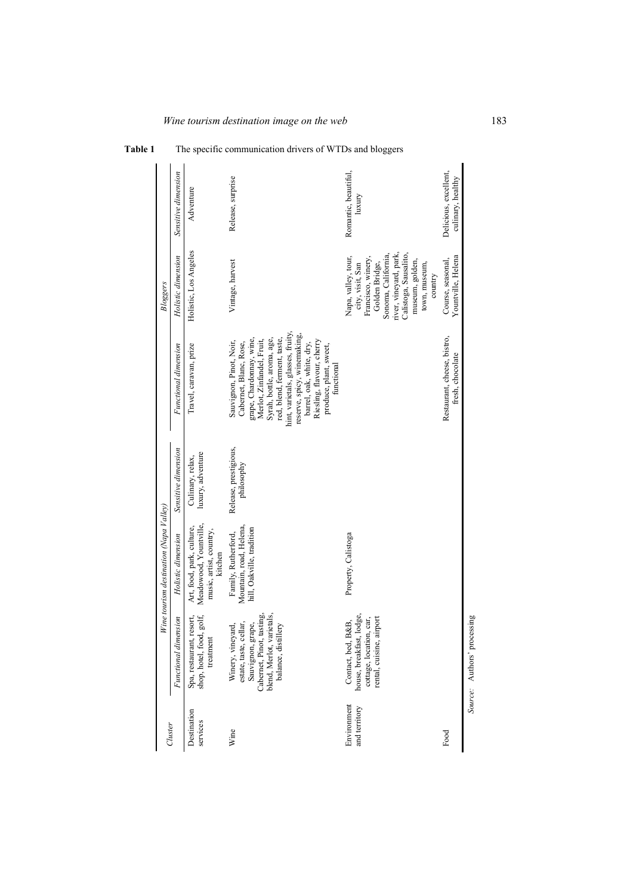|                              |                                                                                                                                                        | Wine tourism destination (Napa Valley)                                                    |                                       |                                                                                                                                                                                                                                                                                                                                              | Bloggers                                                                                                                                                                                                 |                                            |
|------------------------------|--------------------------------------------------------------------------------------------------------------------------------------------------------|-------------------------------------------------------------------------------------------|---------------------------------------|----------------------------------------------------------------------------------------------------------------------------------------------------------------------------------------------------------------------------------------------------------------------------------------------------------------------------------------------|----------------------------------------------------------------------------------------------------------------------------------------------------------------------------------------------------------|--------------------------------------------|
| Cluster                      | Functional dimension                                                                                                                                   | Holistic dimension                                                                        | Sensitive dimension                   | Functional dimension                                                                                                                                                                                                                                                                                                                         | Holistic dimension                                                                                                                                                                                       | Sensitive dimension                        |
| Destination<br>services      | golf,<br>Spa, restaurant, resort,<br>shop, hotel, food,<br>treatment                                                                                   | Meadowood, Yountville,<br>Art, food, park, culture,<br>music, artist, country,<br>kitchen | luxury, adventure<br>Culinary, relax, | Travel, caravan, prize                                                                                                                                                                                                                                                                                                                       | Holistic, Los Angeles                                                                                                                                                                                    | Adventure                                  |
| Wine                         | Cabernet, Pinot, tasting,<br>blend, Merlot, varietals,<br>estate, taste, cellar,<br>Sauvignon, grape,<br>Winery, vineyard,<br>lery<br>balance, distill | Mountain, road, Helena,<br>hill, Oakville, tradition<br>Family, Rutherford,               | Release, prestigious,<br>philosophy   | hint, varietals, glasses, fruity,<br>reserve, spicy, winemaking,<br>grape, Chardonnay, wine,<br>Syrah, bottle, aroma, age,<br>Merlot, Zinfandel, Fruit,<br>red, blend, ferment, taste,<br>Sauvignon, Pinot, Noir,<br>Riesling, flavour, cherry<br>Cabernet, Blanc, Rose,<br>barrel, oak, white, dry,<br>produce, plant, sweet,<br>functional | Vintage, harvest                                                                                                                                                                                         | Release, surprise                          |
| Environment<br>and territory | house, breakfast, lodge,<br>rental, cuisine, airport<br>cottage, location, car,<br>Contact, bed, B&B,                                                  | Property, Calistoga                                                                       |                                       |                                                                                                                                                                                                                                                                                                                                              | river, vineyard, park,<br>Calistoga, Sausalito,<br>Sonoma, California,<br>Napa, valley, tour,<br>Francisco, winery,<br>museum, golden,<br>Golden Bridge,<br>town, museum,<br>city, visit, San<br>country | Romantic, beautiful,<br>luxury             |
| Food                         |                                                                                                                                                        |                                                                                           |                                       | Restaurant, cheese, bistro,<br>fresh, chocolate                                                                                                                                                                                                                                                                                              | Yountville, Helena<br>Course, seasonal,                                                                                                                                                                  | Delicious, excellent,<br>culinary, healthy |
|                              | Source: Authors' processing                                                                                                                            |                                                                                           |                                       |                                                                                                                                                                                                                                                                                                                                              |                                                                                                                                                                                                          |                                            |

**Table 1** The specific communication drivers of WTDs and bloggers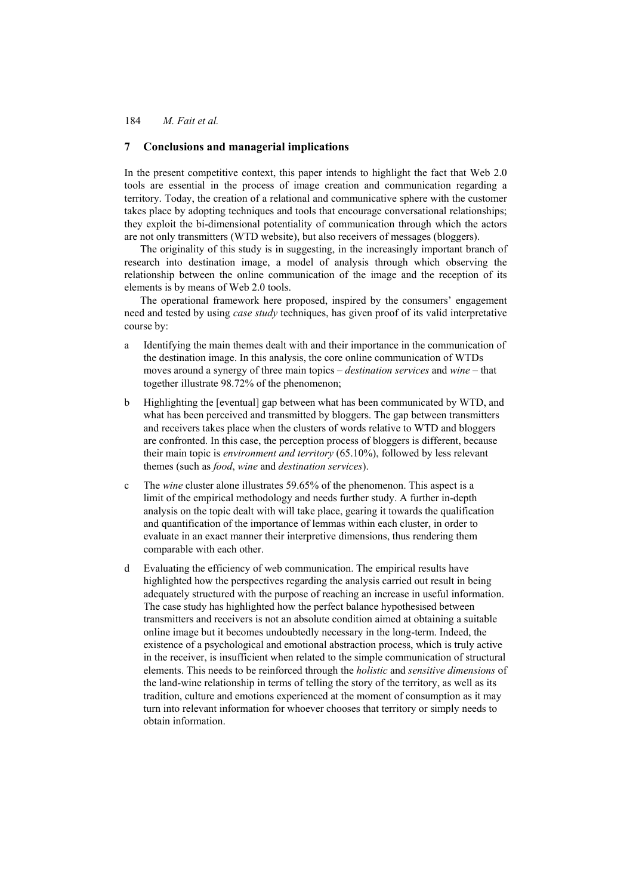## **7 Conclusions and managerial implications**

In the present competitive context, this paper intends to highlight the fact that Web 2.0 tools are essential in the process of image creation and communication regarding a territory. Today, the creation of a relational and communicative sphere with the customer takes place by adopting techniques and tools that encourage conversational relationships; they exploit the bi-dimensional potentiality of communication through which the actors are not only transmitters (WTD website), but also receivers of messages (bloggers).

The originality of this study is in suggesting, in the increasingly important branch of research into destination image, a model of analysis through which observing the relationship between the online communication of the image and the reception of its elements is by means of Web 2.0 tools.

The operational framework here proposed, inspired by the consumers' engagement need and tested by using *case study* techniques, has given proof of its valid interpretative course by:

- a Identifying the main themes dealt with and their importance in the communication of the destination image. In this analysis, the core online communication of WTDs moves around a synergy of three main topics – *destination services* and *wine* – that together illustrate 98.72% of the phenomenon;
- b Highlighting the [eventual] gap between what has been communicated by WTD, and what has been perceived and transmitted by bloggers. The gap between transmitters and receivers takes place when the clusters of words relative to WTD and bloggers are confronted. In this case, the perception process of bloggers is different, because their main topic is *environment and territory* (65.10%), followed by less relevant themes (such as *food*, *wine* and *destination services*).
- c The *wine* cluster alone illustrates 59.65% of the phenomenon. This aspect is a limit of the empirical methodology and needs further study. A further in-depth analysis on the topic dealt with will take place, gearing it towards the qualification and quantification of the importance of lemmas within each cluster, in order to evaluate in an exact manner their interpretive dimensions, thus rendering them comparable with each other.
- d Evaluating the efficiency of web communication. The empirical results have highlighted how the perspectives regarding the analysis carried out result in being adequately structured with the purpose of reaching an increase in useful information. The case study has highlighted how the perfect balance hypothesised between transmitters and receivers is not an absolute condition aimed at obtaining a suitable online image but it becomes undoubtedly necessary in the long-term. Indeed, the existence of a psychological and emotional abstraction process, which is truly active in the receiver, is insufficient when related to the simple communication of structural elements. This needs to be reinforced through the *holistic* and *sensitive dimensions* of the land-wine relationship in terms of telling the story of the territory, as well as its tradition, culture and emotions experienced at the moment of consumption as it may turn into relevant information for whoever chooses that territory or simply needs to obtain information.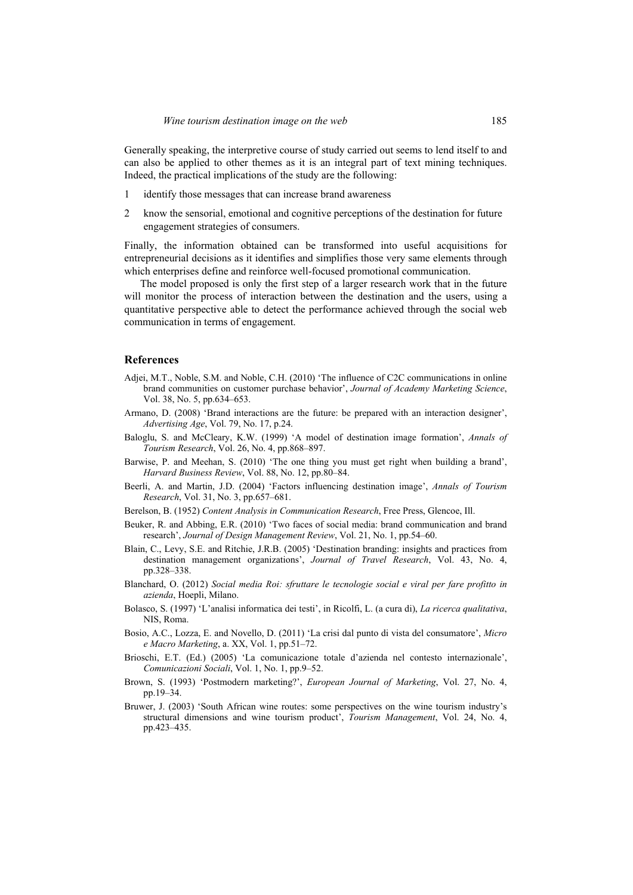Generally speaking, the interpretive course of study carried out seems to lend itself to and can also be applied to other themes as it is an integral part of text mining techniques. Indeed, the practical implications of the study are the following:

- 1 identify those messages that can increase brand awareness
- 2 know the sensorial, emotional and cognitive perceptions of the destination for future engagement strategies of consumers.

Finally, the information obtained can be transformed into useful acquisitions for entrepreneurial decisions as it identifies and simplifies those very same elements through which enterprises define and reinforce well-focused promotional communication.

The model proposed is only the first step of a larger research work that in the future will monitor the process of interaction between the destination and the users, using a quantitative perspective able to detect the performance achieved through the social web communication in terms of engagement.

#### **References**

- Adjei, M.T., Noble, S.M. and Noble, C.H. (2010) 'The influence of C2C communications in online brand communities on customer purchase behavior', *Journal of Academy Marketing Science*, Vol. 38, No. 5, pp.634–653.
- Armano, D. (2008) 'Brand interactions are the future: be prepared with an interaction designer', *Advertising Age*, Vol. 79, No. 17, p.24.
- Baloglu, S. and McCleary, K.W. (1999) 'A model of destination image formation', *Annals of Tourism Research*, Vol. 26, No. 4, pp.868–897.
- Barwise, P. and Meehan, S. (2010) 'The one thing you must get right when building a brand', *Harvard Business Review*, Vol. 88, No. 12, pp.80–84.
- Beerli, A. and Martin, J.D. (2004) 'Factors influencing destination image', *Annals of Tourism Research*, Vol. 31, No. 3, pp.657–681.
- Berelson, B. (1952) *Content Analysis in Communication Research*, Free Press, Glencoe, Ill.
- Beuker, R. and Abbing, E.R. (2010) 'Two faces of social media: brand communication and brand research', *Journal of Design Management Review*, Vol. 21, No. 1, pp.54–60.
- Blain, C., Levy, S.E. and Ritchie, J.R.B. (2005) 'Destination branding: insights and practices from destination management organizations', *Journal of Travel Research*, Vol. 43, No. 4, pp.328–338.
- Blanchard, O. (2012) *Social media Roi: sfruttare le tecnologie social e viral per fare profitto in azienda*, Hoepli, Milano.
- Bolasco, S. (1997) 'L'analisi informatica dei testi', in Ricolfi, L. (a cura di), *La ricerca qualitativa*, NIS, Roma.
- Bosio, A.C., Lozza, E. and Novello, D. (2011) 'La crisi dal punto di vista del consumatore', *Micro e Macro Marketing*, a. XX, Vol. 1, pp.51–72.
- Brioschi, E.T. (Ed.) (2005) 'La comunicazione totale d'azienda nel contesto internazionale', *Comunicazioni Sociali*, Vol. 1, No. 1, pp.9–52.
- Brown, S. (1993) 'Postmodern marketing?', *European Journal of Marketing*, Vol. 27, No. 4, pp.19–34.
- Bruwer, J. (2003) 'South African wine routes: some perspectives on the wine tourism industry's structural dimensions and wine tourism product', *Tourism Management*, Vol. 24, No. 4, pp.423–435.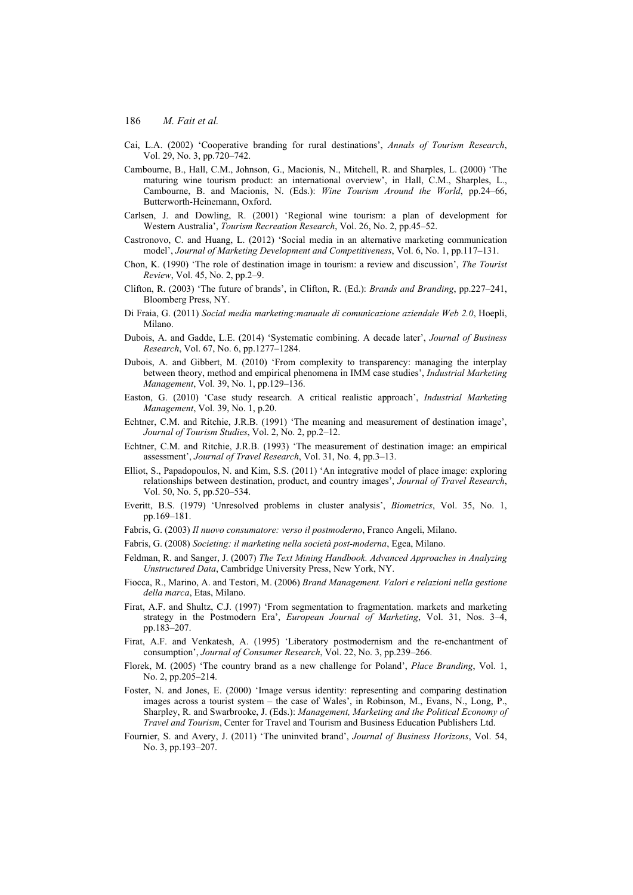- Cai, L.A. (2002) 'Cooperative branding for rural destinations', *Annals of Tourism Research*, Vol. 29, No. 3, pp.720–742.
- Cambourne, B., Hall, C.M., Johnson, G., Macionis, N., Mitchell, R. and Sharples, L. (2000) 'The maturing wine tourism product: an international overview', in Hall, C.M., Sharples, L., Cambourne, B. and Macionis, N. (Eds.): *Wine Tourism Around the World*, pp.24–66, Butterworth-Heinemann, Oxford.
- Carlsen, J. and Dowling, R. (2001) 'Regional wine tourism: a plan of development for Western Australia', *Tourism Recreation Research*, Vol. 26, No. 2, pp.45–52.
- Castronovo, C. and Huang, L. (2012) 'Social media in an alternative marketing communication model', *Journal of Marketing Development and Competitiveness*, Vol. 6, No. 1, pp.117–131.
- Chon, K. (1990) 'The role of destination image in tourism: a review and discussion', *The Tourist Review*, Vol. 45, No. 2, pp.2–9.
- Clifton, R. (2003) 'The future of brands', in Clifton, R. (Ed.): *Brands and Branding*, pp.227–241, Bloomberg Press, NY.
- Di Fraia, G. (2011) *Social media marketing:manuale di comunicazione aziendale Web 2.0*, Hoepli, Milano.
- Dubois, A. and Gadde, L.E. (2014) 'Systematic combining. A decade later', *Journal of Business Research*, Vol. 67, No. 6, pp.1277–1284.
- Dubois, A. and Gibbert, M. (2010) 'From complexity to transparency: managing the interplay between theory, method and empirical phenomena in IMM case studies', *Industrial Marketing Management*, Vol. 39, No. 1, pp.129–136.
- Easton, G. (2010) 'Case study research. A critical realistic approach', *Industrial Marketing Management*, Vol. 39, No. 1, p.20.
- Echtner, C.M. and Ritchie, J.R.B. (1991) 'The meaning and measurement of destination image', *Journal of Tourism Studies*, Vol. 2, No. 2, pp.2–12.
- Echtner, C.M. and Ritchie, J.R.B. (1993) 'The measurement of destination image: an empirical assessment', *Journal of Travel Research*, Vol. 31, No. 4, pp.3–13.
- Elliot, S., Papadopoulos, N. and Kim, S.S. (2011) 'An integrative model of place image: exploring relationships between destination, product, and country images', *Journal of Travel Research*, Vol. 50, No. 5, pp.520–534.
- Everitt, B.S. (1979) 'Unresolved problems in cluster analysis', *Biometrics*, Vol. 35, No. 1, pp.169–181.
- Fabris, G. (2003) *Il nuovo consumatore: verso il postmoderno*, Franco Angeli, Milano.
- Fabris, G. (2008) *Societing: il marketing nella società post-moderna*, Egea, Milano.
- Feldman, R. and Sanger, J. (2007) *The Text Mining Handbook. Advanced Approaches in Analyzing Unstructured Data*, Cambridge University Press, New York, NY.
- Fiocca, R., Marino, A. and Testori, M. (2006) *Brand Management. Valori e relazioni nella gestione della marca*, Etas, Milano.
- Firat, A.F. and Shultz, C.J. (1997) 'From segmentation to fragmentation. markets and marketing strategy in the Postmodern Era', *European Journal of Marketing*, Vol. 31, Nos. 3–4, pp.183–207.
- Firat, A.F. and Venkatesh, A. (1995) 'Liberatory postmodernism and the re-enchantment of consumption', *Journal of Consumer Research*, Vol. 22, No. 3, pp.239–266.
- Florek, M. (2005) 'The country brand as a new challenge for Poland', *Place Branding*, Vol. 1, No. 2, pp.205–214.
- Foster, N. and Jones, E. (2000) 'Image versus identity: representing and comparing destination images across a tourist system – the case of Wales', in Robinson, M., Evans, N., Long, P., Sharpley, R. and Swarbrooke, J. (Eds.): *Management, Marketing and the Political Economy of Travel and Tourism*, Center for Travel and Tourism and Business Education Publishers Ltd.
- Fournier, S. and Avery, J. (2011) 'The uninvited brand', *Journal of Business Horizons*, Vol. 54, No. 3, pp.193–207.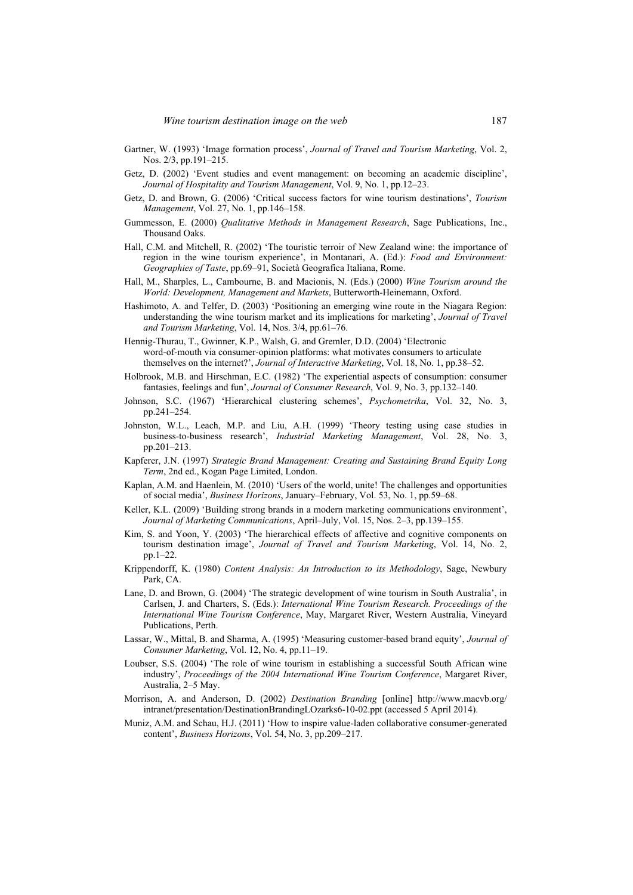- Gartner, W. (1993) 'Image formation process', *Journal of Travel and Tourism Marketing*, Vol. 2, Nos. 2/3, pp.191–215.
- Getz, D. (2002) 'Event studies and event management: on becoming an academic discipline', *Journal of Hospitality and Tourism Management*, Vol. 9, No. 1, pp.12–23.
- Getz, D. and Brown, G. (2006) 'Critical success factors for wine tourism destinations', *Tourism Management*, Vol. 27, No. 1, pp.146–158.
- Gummesson, E. (2000) *Qualitative Methods in Management Research*, Sage Publications, Inc., Thousand Oaks.
- Hall, C.M. and Mitchell, R. (2002) 'The touristic terroir of New Zealand wine: the importance of region in the wine tourism experience', in Montanari, A. (Ed.): *Food and Environment: Geographies of Taste*, pp.69–91, Società Geografica Italiana, Rome.
- Hall, M., Sharples, L., Cambourne, B. and Macionis, N. (Eds.) (2000) *Wine Tourism around the World: Development, Management and Markets*, Butterworth-Heinemann, Oxford.
- Hashimoto, A. and Telfer, D. (2003) 'Positioning an emerging wine route in the Niagara Region: understanding the wine tourism market and its implications for marketing', *Journal of Travel and Tourism Marketing*, Vol. 14, Nos. 3/4, pp.61–76.
- Hennig-Thurau, T., Gwinner, K.P., Walsh, G. and Gremler, D.D. (2004) 'Electronic word-of-mouth via consumer-opinion platforms: what motivates consumers to articulate themselves on the internet?', *Journal of Interactive Marketing*, Vol. 18, No. 1, pp.38–52.
- Holbrook, M.B. and Hirschman, E.C. (1982) 'The experiential aspects of consumption: consumer fantasies, feelings and fun', *Journal of Consumer Research*, Vol. 9, No. 3, pp.132–140.
- Johnson, S.C. (1967) 'Hierarchical clustering schemes', *Psychometrika*, Vol. 32, No. 3, pp.241–254.
- Johnston, W.L., Leach, M.P. and Liu, A.H. (1999) 'Theory testing using case studies in business-to-business research', *Industrial Marketing Management*, Vol. 28, No. 3, pp.201–213.
- Kapferer, J.N. (1997) *Strategic Brand Management: Creating and Sustaining Brand Equity Long Term*, 2nd ed., Kogan Page Limited, London.
- Kaplan, A.M. and Haenlein, M. (2010) 'Users of the world, unite! The challenges and opportunities of social media', *Business Horizons*, January–February, Vol. 53, No. 1, pp.59–68.
- Keller, K.L. (2009) 'Building strong brands in a modern marketing communications environment', *Journal of Marketing Communications*, April–July, Vol. 15, Nos. 2–3, pp.139–155.
- Kim, S. and Yoon, Y. (2003) 'The hierarchical effects of affective and cognitive components on tourism destination image', *Journal of Travel and Tourism Marketing*, Vol. 14, No. 2, pp.1–22.
- Krippendorff, K. (1980) *Content Analysis: An Introduction to its Methodology*, Sage, Newbury Park, CA.
- Lane, D. and Brown, G. (2004) 'The strategic development of wine tourism in South Australia', in Carlsen, J. and Charters, S. (Eds.): *International Wine Tourism Research. Proceedings of the International Wine Tourism Conference*, May, Margaret River, Western Australia, Vineyard Publications, Perth.
- Lassar, W., Mittal, B. and Sharma, A. (1995) 'Measuring customer-based brand equity', *Journal of Consumer Marketing*, Vol. 12, No. 4, pp.11–19.
- Loubser, S.S. (2004) 'The role of wine tourism in establishing a successful South African wine industry', *Proceedings of the 2004 International Wine Tourism Conference*, Margaret River, Australia, 2–5 May.
- Morrison, A. and Anderson, D. (2002) *Destination Branding* [online] http://www.macvb.org/ intranet/presentation/DestinationBrandingLOzarks6-10-02.ppt (accessed 5 April 2014).
- Muniz, A.M. and Schau, H.J. (2011) 'How to inspire value-laden collaborative consumer-generated content', *Business Horizons*, Vol. 54, No. 3, pp.209–217.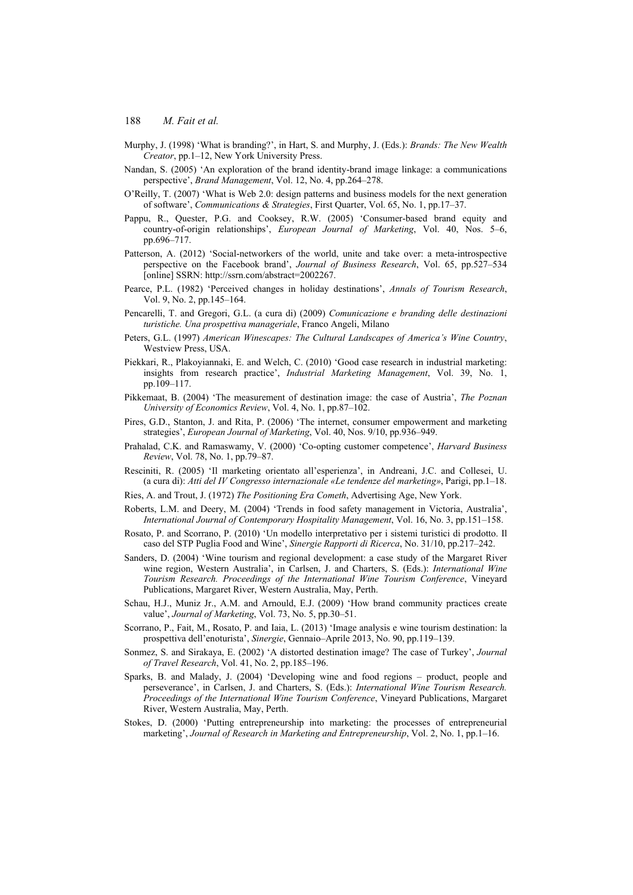- Murphy, J. (1998) 'What is branding?', in Hart, S. and Murphy, J. (Eds.): *Brands: The New Wealth Creator*, pp.1–12, New York University Press.
- Nandan, S. (2005) 'An exploration of the brand identity-brand image linkage: a communications perspective', *Brand Management*, Vol. 12, No. 4, pp.264–278.
- O'Reilly, T. (2007) 'What is Web 2.0: design patterns and business models for the next generation of software', *Communications & Strategies*, First Quarter, Vol. 65, No. 1, pp.17–37.
- Pappu, R., Quester, P.G. and Cooksey, R.W. (2005) 'Consumer-based brand equity and country-of-origin relationships', *European Journal of Marketing*, Vol. 40, Nos. 5–6, pp.696–717.
- Patterson, A. (2012) 'Social-networkers of the world, unite and take over: a meta-introspective perspective on the Facebook brand', *Journal of Business Research*, Vol. 65, pp.527–534 [online] SSRN: http://ssrn.com/abstract=2002267.
- Pearce, P.L. (1982) 'Perceived changes in holiday destinations', *Annals of Tourism Research*, Vol. 9, No. 2, pp.145–164.
- Pencarelli, T. and Gregori, G.L. (a cura di) (2009) *Comunicazione e branding delle destinazioni turistiche. Una prospettiva manageriale*, Franco Angeli, Milano
- Peters, G.L. (1997) *American Winescapes: The Cultural Landscapes of America's Wine Country*, Westview Press, USA.
- Piekkari, R., Plakoyiannaki, E. and Welch, C. (2010) 'Good case research in industrial marketing: insights from research practice', *Industrial Marketing Management*, Vol. 39, No. 1, pp.109–117.
- Pikkemaat, B. (2004) 'The measurement of destination image: the case of Austria', *The Poznan University of Economics Review*, Vol. 4, No. 1, pp.87–102.
- Pires, G.D., Stanton, J. and Rita, P. (2006) 'The internet, consumer empowerment and marketing strategies', *European Journal of Marketing*, Vol. 40, Nos. 9/10, pp.936–949.
- Prahalad, C.K. and Ramaswamy, V. (2000) 'Co-opting customer competence', *Harvard Business Review*, Vol. 78, No. 1, pp.79–87.
- Resciniti, R. (2005) 'Il marketing orientato all'esperienza', in Andreani, J.C. and Collesei, U. (a cura di): *Atti del IV Congresso internazionale «Le tendenze del marketing»*, Parigi, pp.1–18.
- Ries, A. and Trout, J. (1972) *The Positioning Era Cometh*, Advertising Age, New York.
- Roberts, L.M. and Deery, M. (2004) 'Trends in food safety management in Victoria, Australia', *International Journal of Contemporary Hospitality Management*, Vol. 16, No. 3, pp.151–158.
- Rosato, P. and Scorrano, P. (2010) 'Un modello interpretativo per i sistemi turistici di prodotto. Il caso del STP Puglia Food and Wine', *Sinergie Rapporti di Ricerca*, No. 31/10, pp.217–242.
- Sanders, D. (2004) 'Wine tourism and regional development: a case study of the Margaret River wine region, Western Australia', in Carlsen, J. and Charters, S. (Eds.): *International Wine Tourism Research. Proceedings of the International Wine Tourism Conference*, Vineyard Publications, Margaret River, Western Australia, May, Perth.
- Schau, H.J., Muniz Jr., A.M. and Arnould, E.J. (2009) 'How brand community practices create value', *Journal of Marketing*, Vol. 73, No. 5, pp.30–51.
- Scorrano, P., Fait, M., Rosato, P. and Iaia, L. (2013) 'Image analysis e wine tourism destination: la prospettiva dell'enoturista', *Sinergie*, Gennaio–Aprile 2013, No. 90, pp.119–139.
- Sonmez, S. and Sirakaya, E. (2002) 'A distorted destination image? The case of Turkey', *Journal of Travel Research*, Vol. 41, No. 2, pp.185–196.
- Sparks, B. and Malady, J. (2004) 'Developing wine and food regions product, people and perseverance', in Carlsen, J. and Charters, S. (Eds.): *International Wine Tourism Research. Proceedings of the International Wine Tourism Conference*, Vineyard Publications, Margaret River, Western Australia, May, Perth.
- Stokes, D. (2000) 'Putting entrepreneurship into marketing: the processes of entrepreneurial marketing', *Journal of Research in Marketing and Entrepreneurship*, Vol. 2, No. 1, pp.1–16.